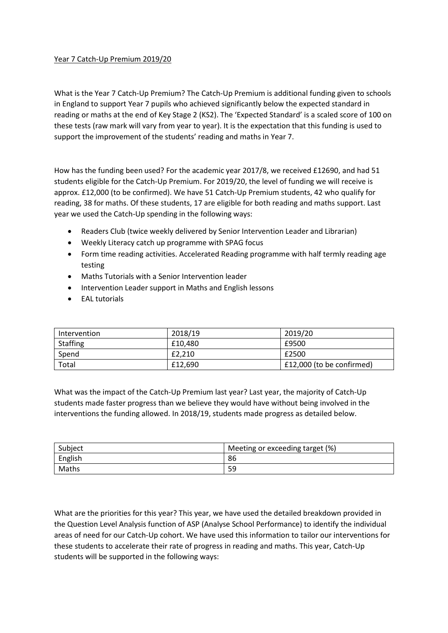## Year 7 Catch‐Up Premium 2019/20

What is the Year 7 Catch‐Up Premium? The Catch‐Up Premium is additional funding given to schools in England to support Year 7 pupils who achieved significantly below the expected standard in reading or maths at the end of Key Stage 2 (KS2). The 'Expected Standard' is a scaled score of 100 on these tests (raw mark will vary from year to year). It is the expectation that this funding is used to support the improvement of the students' reading and maths in Year 7.

How has the funding been used? For the academic year 2017/8, we received £12690, and had 51 students eligible for the Catch-Up Premium. For 2019/20, the level of funding we will receive is approx. £12,000 (to be confirmed). We have 51 Catch‐Up Premium students, 42 who qualify for reading, 38 for maths. Of these students, 17 are eligible for both reading and maths support. Last year we used the Catch‐Up spending in the following ways:

- Readers Club (twice weekly delivered by Senior Intervention Leader and Librarian)
- Weekly Literacy catch up programme with SPAG focus
- Form time reading activities. Accelerated Reading programme with half termly reading age testing
- Maths Tutorials with a Senior Intervention leader
- Intervention Leader support in Maths and English lessons
- EAL tutorials

| Intervention | 2018/19 | 2019/20                   |
|--------------|---------|---------------------------|
| Staffing     | £10.480 | £9500                     |
| Spend        | £2.210  | £2500                     |
| Total        | £12,690 | £12,000 (to be confirmed) |

What was the impact of the Catch‐Up Premium last year? Last year, the majority of Catch‐Up students made faster progress than we believe they would have without being involved in the interventions the funding allowed. In 2018/19, students made progress as detailed below.

| Subject | Meeting or exceeding target (%) |
|---------|---------------------------------|
| English | 86                              |
| Maths   | 59                              |

What are the priorities for this year? This year, we have used the detailed breakdown provided in the Question Level Analysis function of ASP (Analyse School Performance) to identify the individual areas of need for our Catch‐Up cohort. We have used this information to tailor our interventions for these students to accelerate their rate of progress in reading and maths. This year, Catch‐Up students will be supported in the following ways: